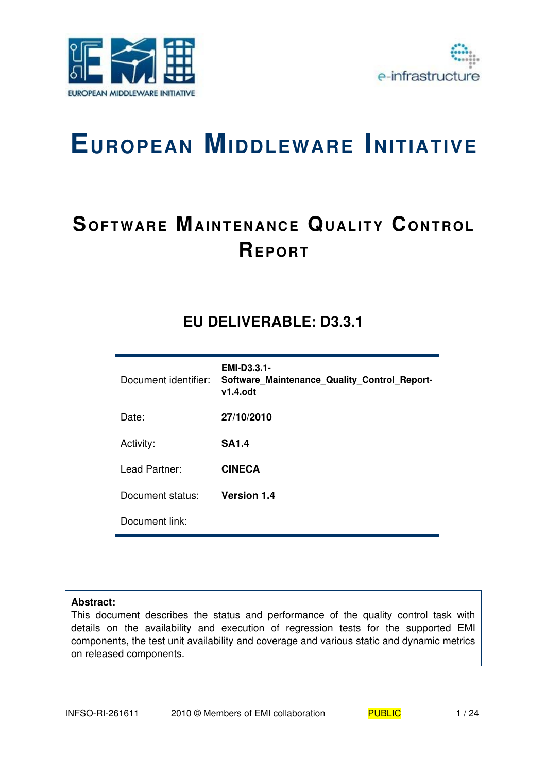



# **EUROPEAN MIDDLEWARE INITIATIVE**

# **SOFTWARE MAINTENANCE QUALITY CONTROL REP O RT**

# **EU DELIVERABLE: D3.3.1**

| Document identifier: | <b>EMI-D3.3.1-</b><br>Software Maintenance Quality Control Report-<br>$v1.4.$ odt |
|----------------------|-----------------------------------------------------------------------------------|
| Date:                | 27/10/2010                                                                        |
| Activity:            | <b>SA1.4</b>                                                                      |
| Lead Partner:        | <b>CINECA</b>                                                                     |
| Document status:     | <b>Version 1.4</b>                                                                |
| Document link:       |                                                                                   |

#### **Abstract:**

This document describes the status and performance of the quality control task with details on the availability and execution of regression tests for the supported EMI components, the test unit availability and coverage and various static and dynamic metrics on released components.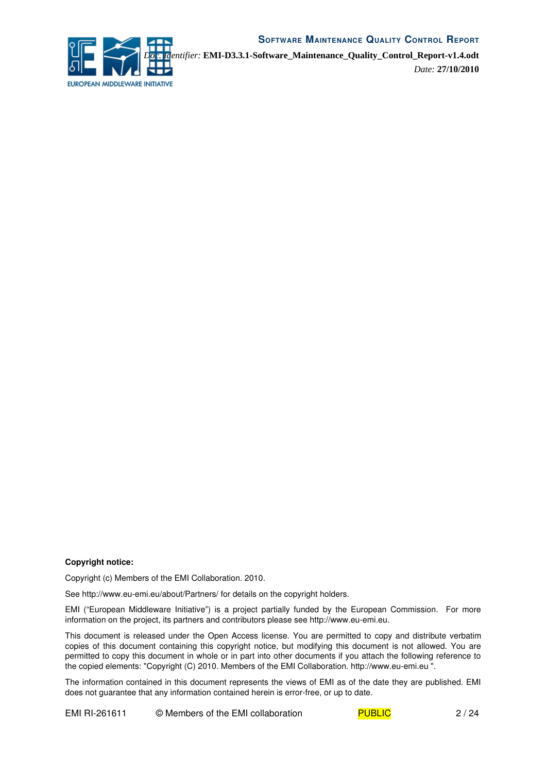

*Doc. Identifier:* **EMI-D3.3.1-Software\_Maintenance\_Quality\_Control\_Report-v1.4.odt**

*Date:* **27/10/2010**

#### **Copyright notice:**

Copyright (c) Members of the EMI Collaboration. 2010.

See http://www.eu-emi.eu/about/Partners/ for details on the copyright holders.

EMI ("European Middleware Initiative") is a project partially funded by the European Commission. For more information on the project, its partners and contributors please see http://www.eu-emi.eu.

This document is released under the Open Access license. You are permitted to copy and distribute verbatim copies of this document containing this copyright notice, but modifying this document is not allowed. You are permitted to copy this document in whole or in part into other documents if you attach the following reference to the copied elements: "Copyright (C) 2010. Members of the EMI Collaboration. http://www.eu-emi.eu ".

The information contained in this document represents the views of EMI as of the date they are published. EMI does not guarantee that any information contained herein is error-free, or up to date.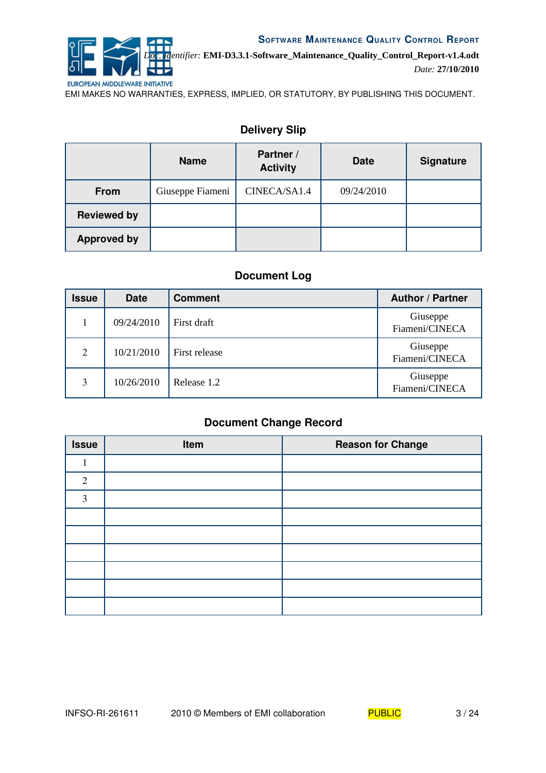

*Doc. Identifier:* **EMI-D3.3.1-Software\_Maintenance\_Quality\_Control\_Report-v1.4.odt** *Date:* **27/10/2010**

EMI MAKES NO WARRANTIES, EXPRESS, IMPLIED, OR STATUTORY, BY PUBLISHING THIS DOCUMENT.

|                    | <b>Name</b>      | Partner /<br><b>Activity</b> | <b>Date</b> | <b>Signature</b> |
|--------------------|------------------|------------------------------|-------------|------------------|
| From               | Giuseppe Fiameni | CINECA/SA1.4                 | 09/24/2010  |                  |
| <b>Reviewed by</b> |                  |                              |             |                  |
| <b>Approved by</b> |                  |                              |             |                  |

# **Delivery Slip**

# **Document Log**

| <b>Issue</b> | <b>Date</b> | <b>Comment</b> | <b>Author / Partner</b>    |
|--------------|-------------|----------------|----------------------------|
|              | 09/24/2010  | First draft    | Giuseppe<br>Fiameni/CINECA |
| 2            | 10/21/2010  | First release  | Giuseppe<br>Fiameni/CINECA |
| 3            | 10/26/2010  | Release 1.2    | Giuseppe<br>Fiameni/CINECA |

# **Document Change Record**

| <b>Issue</b>   | Item | <b>Reason for Change</b> |
|----------------|------|--------------------------|
|                |      |                          |
| $\overline{2}$ |      |                          |
| 3              |      |                          |
|                |      |                          |
|                |      |                          |
|                |      |                          |
|                |      |                          |
|                |      |                          |
|                |      |                          |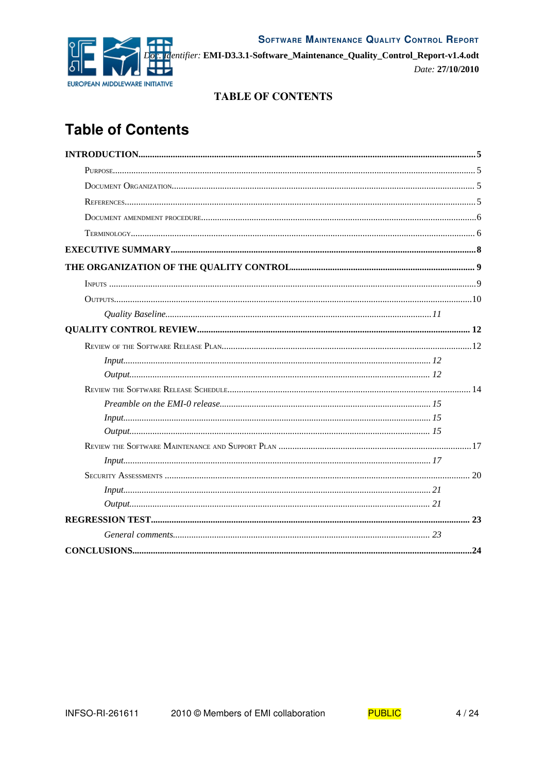



Elentifier: EMI-D3.3.1-Software\_Maintenance\_Quality\_Control\_Report-v1.4.odt Date: 27/10/2010

# **TABLE OF CONTENTS**

# **Table of Contents**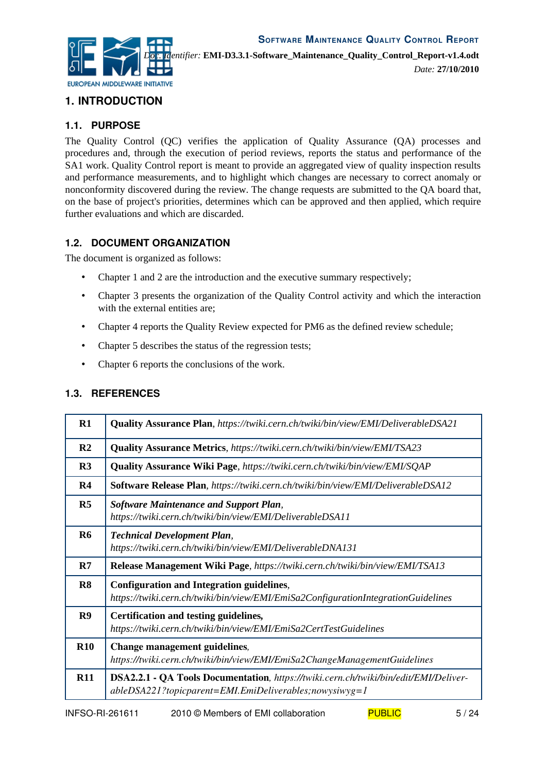

# **1. INTRODUCTION**

# **1.1. PURPOSE**

The Quality Control (QC) verifies the application of Quality Assurance (QA) processes and procedures and, through the execution of period reviews, reports the status and performance of the SA1 work. Quality Control report is meant to provide an aggregated view of quality inspection results and performance measurements, and to highlight which changes are necessary to correct anomaly or nonconformity discovered during the review. The change requests are submitted to the QA board that, on the base of project's priorities, determines which can be approved and then applied, which require further evaluations and which are discarded.

## **1.2. DOCUMENT ORGANIZATION**

The document is organized as follows:

- Chapter 1 and 2 are the introduction and the executive summary respectively;
- Chapter 3 presents the organization of the Quality Control activity and which the interaction with the external entities are:
- Chapter 4 reports the Quality Review expected for PM6 as the defined review schedule;
- Chapter 5 describes the status of the regression tests;
- Chapter 6 reports the conclusions of the work.

#### **1.3. REFERENCES**

<span id="page-4-8"></span><span id="page-4-7"></span><span id="page-4-6"></span><span id="page-4-5"></span><span id="page-4-4"></span><span id="page-4-3"></span><span id="page-4-2"></span><span id="page-4-1"></span><span id="page-4-0"></span>

| R1             | <b>Quality Assurance Plan, https://twiki.cern.ch/twiki/bin/view/EMI/DeliverableDSA21</b>                                                           |
|----------------|----------------------------------------------------------------------------------------------------------------------------------------------------|
| R <sub>2</sub> | <b>Quality Assurance Metrics</b> , https://twiki.cern.ch/twiki/bin/view/EMI/TSA23                                                                  |
| R3             | <b>Quality Assurance Wiki Page, https://twiki.cern.ch/twiki/bin/view/EMI/SQAP</b>                                                                  |
| R <sub>4</sub> | Software Release Plan, https://twiki.cern.ch/twiki/bin/view/EMI/DeliverableDSA12                                                                   |
| R <sub>5</sub> | <b>Software Maintenance and Support Plan,</b><br>https://twiki.cern.ch/twiki/bin/view/EMI/DeliverableDSA11                                         |
| <b>R6</b>      | <b>Technical Development Plan,</b><br>https://twiki.cern.ch/twiki/bin/view/EMI/DeliverableDNA131                                                   |
| R7             | Release Management Wiki Page, https://twiki.cern.ch/twiki/bin/view/EMI/TSA13                                                                       |
| R8             | <b>Configuration and Integration guidelines,</b><br>https://twiki.cern.ch/twiki/bin/view/EMI/EmiSa2ConfigurationIntegrationGuidelines              |
| R9             | Certification and testing guidelines,<br>https://twiki.cern.ch/twiki/bin/view/EMI/EmiSa2CertTestGuidelines                                         |
| <b>R10</b>     | Change management guidelines,<br>https://twiki.cern.ch/twiki/bin/view/EMI/EmiSa2ChangeManagementGuidelines                                         |
| R11            | DSA2.2.1 - QA Tools Documentation, https://twiki.cern.ch/twiki/bin/edit/EMI/Deliver-<br>$able DSA221$ ?topicparent=EMI.EmiDeliverables;nowysiwyg=1 |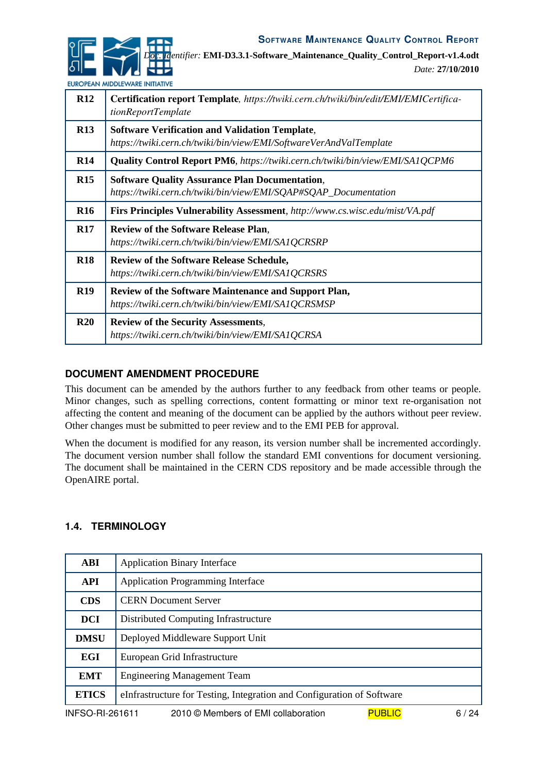

*Date:* **27/10/2010**

EUROPEAN MIDDLEWARE INITIATIVE

<span id="page-5-6"></span><span id="page-5-5"></span><span id="page-5-2"></span><span id="page-5-0"></span>

| R12        | Certification report Template, https://twiki.cern.ch/twiki/bin/edit/EMI/EMICertifica-<br>tionReportTemplate                 |
|------------|-----------------------------------------------------------------------------------------------------------------------------|
| R13        | <b>Software Verification and Validation Template,</b><br>https://twiki.cern.ch/twiki/bin/view/EMI/SoftwareVerAndValTemplate |
| <b>R14</b> | <b>Quality Control Report PM6</b> , https://twiki.cern.ch/twiki/bin/view/EMI/SA1QCPM6                                       |
| R15        | <b>Software Quality Assurance Plan Documentation,</b><br>https://twiki.cern.ch/twiki/bin/view/EMI/SQAP#SQAP_Documentation   |
| <b>R16</b> | Firs Principles Vulnerability Assessment, http://www.cs.wisc.edu/mist/VA.pdf                                                |
| <b>R17</b> | <b>Review of the Software Release Plan.</b><br>https://twiki.cern.ch/twiki/bin/view/EMI/SA1QCRSRP                           |
| <b>R18</b> | <b>Review of the Software Release Schedule,</b><br>https://twiki.cern.ch/twiki/bin/view/EMI/SA1QCRSRS                       |
| <b>R19</b> | Review of the Software Maintenance and Support Plan,<br>https://twiki.cern.ch/twiki/bin/view/EMI/SA1QCRSMSP                 |
| R20        | <b>Review of the Security Assessments,</b><br>https://twiki.cern.ch/twiki/bin/view/EMI/SA1QCRSA                             |

## <span id="page-5-4"></span><span id="page-5-3"></span><span id="page-5-1"></span>**DOCUMENT AMENDMENT PROCEDURE**

This document can be amended by the authors further to any feedback from other teams or people. Minor changes, such as spelling corrections, content formatting or minor text re-organisation not affecting the content and meaning of the document can be applied by the authors without peer review. Other changes must be submitted to peer review and to the EMI PEB for approval.

When the document is modified for any reason, its version number shall be incremented accordingly. The document version number shall follow the standard EMI conventions for document versioning. The document shall be maintained in the CERN CDS repository and be made accessible through the OpenAIRE portal.

#### **1.4. TERMINOLOGY**

| <b>ABI</b>   | <b>Application Binary Interface</b>                                                          |  |  |
|--------------|----------------------------------------------------------------------------------------------|--|--|
| <b>API</b>   | <b>Application Programming Interface</b>                                                     |  |  |
| <b>CDS</b>   | <b>CERN Document Server</b>                                                                  |  |  |
| <b>DCI</b>   | Distributed Computing Infrastructure                                                         |  |  |
| <b>DMSU</b>  | Deployed Middleware Support Unit                                                             |  |  |
| <b>EGI</b>   | European Grid Infrastructure                                                                 |  |  |
| <b>EMT</b>   | <b>Engineering Management Team</b>                                                           |  |  |
| <b>ETICS</b> | eInfrastructure for Testing, Integration and Configuration of Software                       |  |  |
|              | <b>PUBLIC</b><br><b>INFSO-RI-261611</b><br>2010 © Members of EMI collaboration<br>24 /<br>6. |  |  |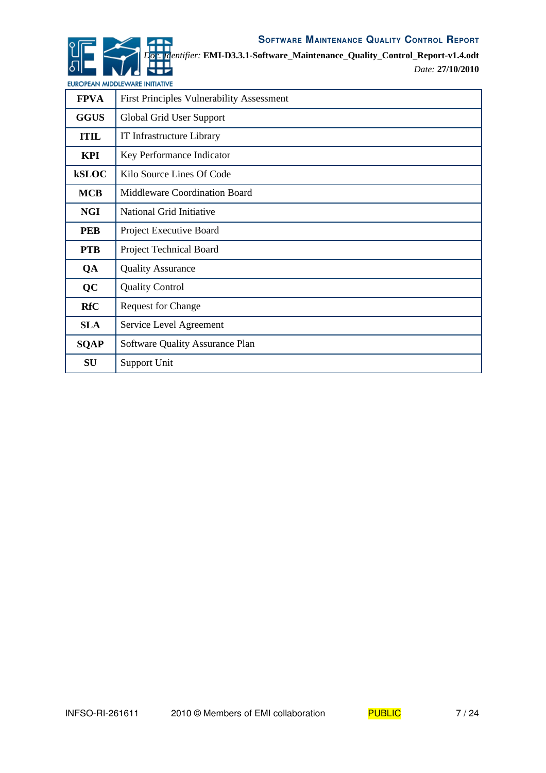

*Doc. Identifier:* **EMI-D3.3.1-Software\_Maintenance\_Quality\_Control\_Report-v1.4.odt**

*Date:* **27/10/2010**

EUROPEAN MIDDLEWARE INITIATIVE

| <b>FPVA</b>  | <b>First Principles Vulnerability Assessment</b> |
|--------------|--------------------------------------------------|
| <b>GGUS</b>  | Global Grid User Support                         |
| <b>ITIL</b>  | IT Infrastructure Library                        |
| KPI          | Key Performance Indicator                        |
| <b>kSLOC</b> | Kilo Source Lines Of Code                        |
| <b>MCB</b>   | Middleware Coordination Board                    |
| <b>NGI</b>   | National Grid Initiative                         |
| <b>PEB</b>   | Project Executive Board                          |
| <b>PTB</b>   | Project Technical Board                          |
| QA           | <b>Quality Assurance</b>                         |
| QC           | <b>Quality Control</b>                           |
| <b>RfC</b>   | <b>Request for Change</b>                        |
| <b>SLA</b>   | Service Level Agreement                          |
| <b>SQAP</b>  | Software Quality Assurance Plan                  |
| SU           | Support Unit                                     |

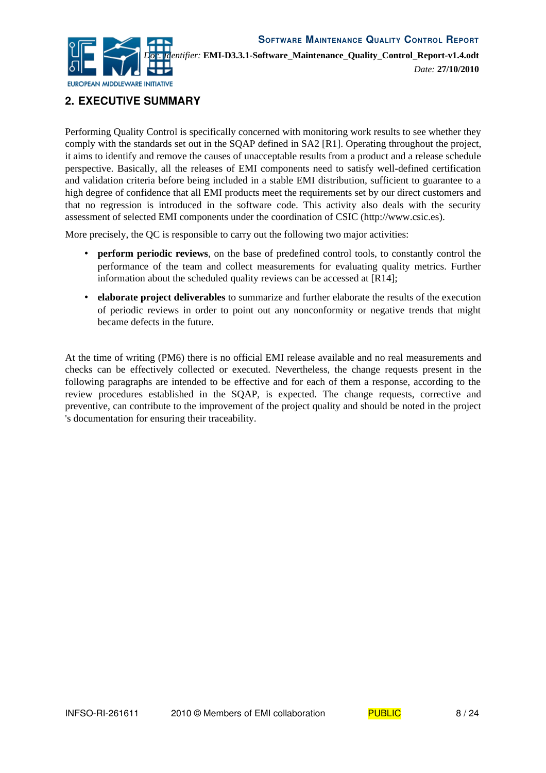

# **2. EXECUTIVE SUMMARY**

Performing Quality Control is specifically concerned with monitoring work results to see whether they comply with the standards set out in the SQAP defined in SA2 [\[R1\]](#page-4-0). Operating throughout the project, it aims to identify and remove the causes of unacceptable results from a product and a release schedule perspective. Basically, all the releases of EMI components need to satisfy well-defined certification and validation criteria before being included in a stable EMI distribution, sufficient to guarantee to a high degree of confidence that all EMI products meet the requirements set by our direct customers and that no regression is introduced in the software code. This activity also deals with the security assessment of selected EMI components under the coordination of CSIC (http://www.csic.es).

More precisely, the QC is responsible to carry out the following two major activities:

- **perform periodic reviews**, on the base of predefined control tools, to constantly control the performance of the team and collect measurements for evaluating quality metrics. Further information about the scheduled quality reviews can be accessed at [\[R14\]](#page-5-0);
- **elaborate project deliverables** to summarize and further elaborate the results of the execution of periodic reviews in order to point out any nonconformity or negative trends that might became defects in the future.

At the time of writing (PM6) there is no official EMI release available and no real measurements and checks can be effectively collected or executed. Nevertheless, the change requests present in the following paragraphs are intended to be effective and for each of them a response, according to the review procedures established in the SQAP, is expected. The change requests, corrective and preventive, can contribute to the improvement of the project quality and should be noted in the project 's documentation for ensuring their traceability.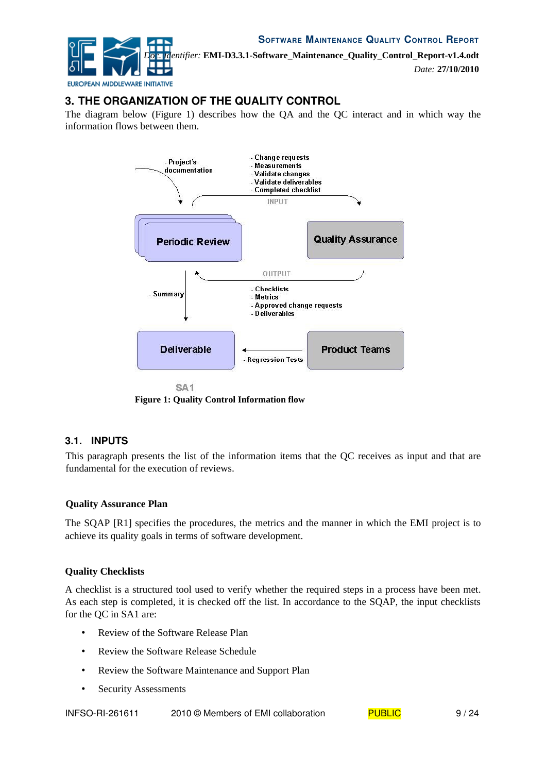

*Date:* **27/10/2010**

# **3. THE ORGANIZATION OF THE QUALITY CONTROL**

The diagram below [\(Figure 1\)](#page-8-0) describes how the QA and the QC interact and in which way the information flows between them.



<span id="page-8-0"></span>**Figure 1: Quality Control Information flow**

#### **3.1. INPUTS**

This paragraph presents the list of the information items that the QC receives as input and that are fundamental for the execution of reviews.

#### **Quality Assurance Plan**

The SQAP [\[R1\]](#page-4-0) specifies the procedures, the metrics and the manner in which the EMI project is to achieve its quality goals in terms of software development.

#### **Quality Checklists**

A checklist is a structured tool used to verify whether the required steps in a process have been met. As each step is completed, it is checked off the list. In accordance to the SQAP, the input checklists for the QC in SA1 are:

- Review of the Software Release Plan
- Review the Software Release Schedule
- Review the Software Maintenance and Support Plan
- Security Assessments

INFSO-RI-261611 2010 © Members of EMI collaboration PUBLIC 9/24

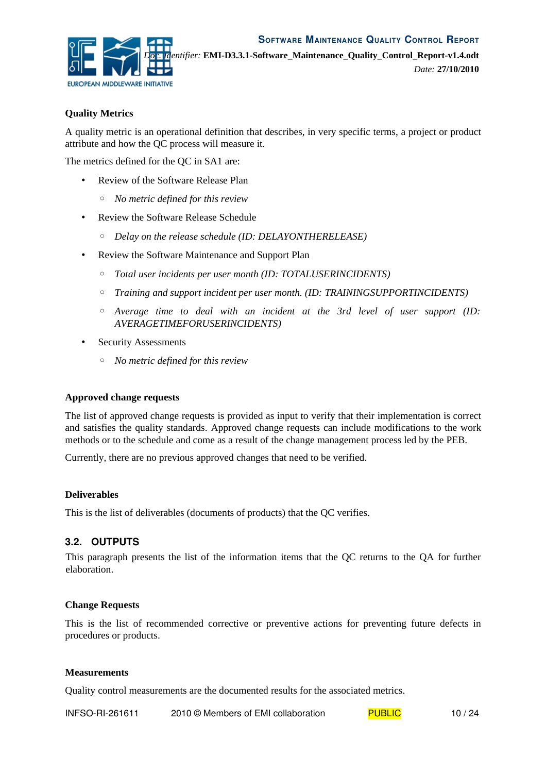

#### **Quality Metrics**

A quality metric is an operational definition that describes, in very specific terms, a project or product attribute and how the QC process will measure it.

The metrics defined for the QC in SA1 are:

- Review of the Software Release Plan
	- *No metric defined for this review*
- Review the Software Release Schedule
	- *Delay on the release schedule (ID: DELAYONTHERELEASE)*
- Review the Software Maintenance and Support Plan
	- *Total user incidents per user month (ID: TOTALUSERINCIDENTS)*
	- *Training and support incident per user month. (ID: TRAININGSUPPORTINCIDENTS)*
	- *Average time to deal with an incident at the 3rd level of user support (ID: AVERAGETIMEFORUSERINCIDENTS)*
- Security Assessments
	- *No metric defined for this review*

#### **Approved change requests**

The list of approved change requests is provided as input to verify that their implementation is correct and satisfies the quality standards. Approved change requests can include modifications to the work methods or to the schedule and come as a result of the change management process led by the PEB.

Currently, there are no previous approved changes that need to be verified.

#### **Deliverables**

This is the list of deliverables (documents of products) that the QC verifies.

#### **3.2. OUTPUTS**

This paragraph presents the list of the information items that the QC returns to the QA for further elaboration.

#### **Change Requests**

This is the list of recommended corrective or preventive actions for preventing future defects in procedures or products.

#### **Measurements**

Quality control measurements are the documented results for the associated metrics.

INFSO-RI-261611 2010 © Members of EMI collaboration  $PUBLIC$  10 / 24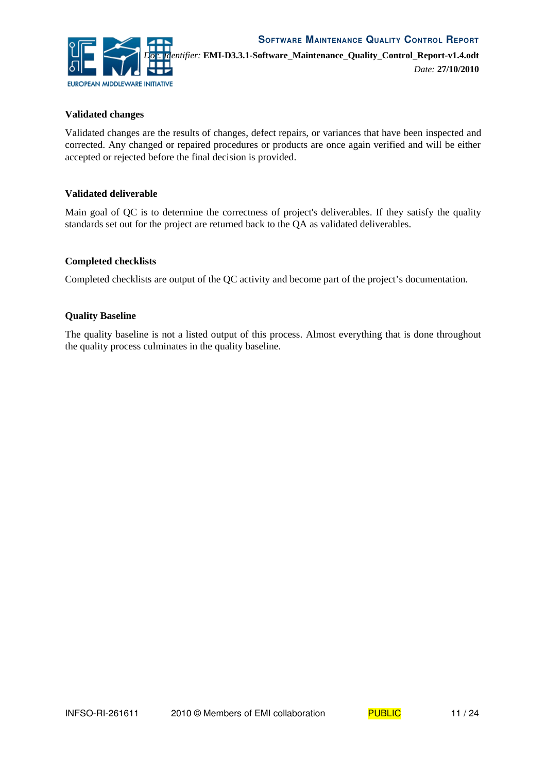

*Date:* **27/10/2010**

#### **Validated changes**

Validated changes are the results of changes, defect repairs, or variances that have been inspected and corrected. Any changed or repaired procedures or products are once again verified and will be either accepted or rejected before the final decision is provided.

#### **Validated deliverable**

Main goal of QC is to determine the correctness of project's deliverables. If they satisfy the quality standards set out for the project are returned back to the QA as validated deliverables.

#### **Completed checklists**

Completed checklists are output of the QC activity and become part of the project's documentation.

#### **Quality Baseline**

The quality baseline is not a listed output of this process. Almost everything that is done throughout the quality process culminates in the quality baseline.

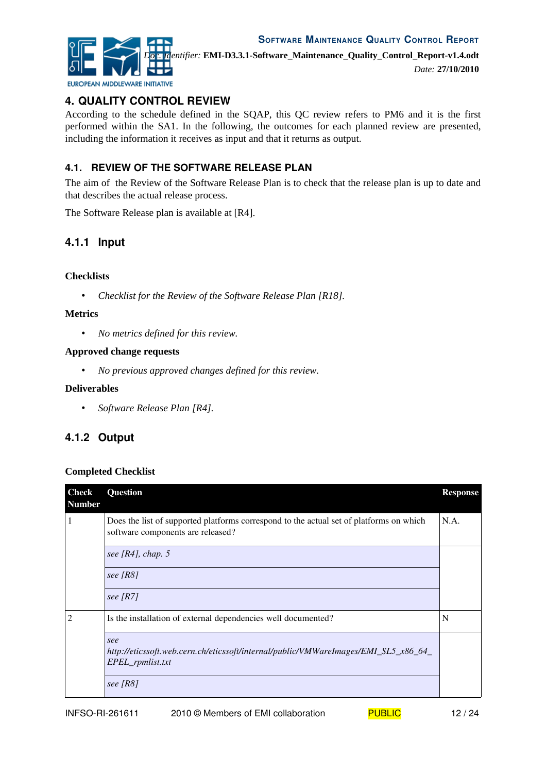



*Date:* **27/10/2010**

# **4. QUALITY CONTROL REVIEW**

According to the schedule defined in the SQAP, this QC review refers to PM6 and it is the first performed within the SA1. In the following, the outcomes for each planned review are presented, including the information it receives as input and that it returns as output.

# **4.1. REVIEW OF THE SOFTWARE RELEASE PLAN**

The aim of the Review of the Software Release Plan is to check that the release plan is up to date and that describes the actual release process.

The Software Release plan is available at [\[R4\]](#page-4-3).

## **4.1.1 Input**

#### **Checklists**

• *Checklist for the Review of the Software Release Plan [\[R18\]](#page-5-1)*.

#### **Metrics**

• *No metrics defined for this review.*

#### **Approved change requests**

• *No previous approved changes defined for this review.*

#### **Deliverables**

• *Software Release Plan [\[R4\]](#page-4-3).*

# **4.1.2 Output**

#### **Completed Checklist**

| <b>Check</b><br><b>Number</b> | Question                                                                                                                     | <b>Response</b> |
|-------------------------------|------------------------------------------------------------------------------------------------------------------------------|-----------------|
| 1                             | Does the list of supported platforms correspond to the actual set of platforms on which<br>software components are released? | N.A.            |
|                               | see [ $R4$ ], chap. 5                                                                                                        |                 |
|                               | see $[RS]$                                                                                                                   |                 |
|                               | see $[R7]$                                                                                                                   |                 |
| $\overline{c}$                | Is the installation of external dependencies well documented?                                                                | N               |
|                               | see<br>http://eticssoft.web.cern.ch/eticssoft/internal/public/VMWareImages/EMI_SL5_x86_64_<br>EPEL_rpmlist.txt               |                 |
|                               | see $[RS]$                                                                                                                   |                 |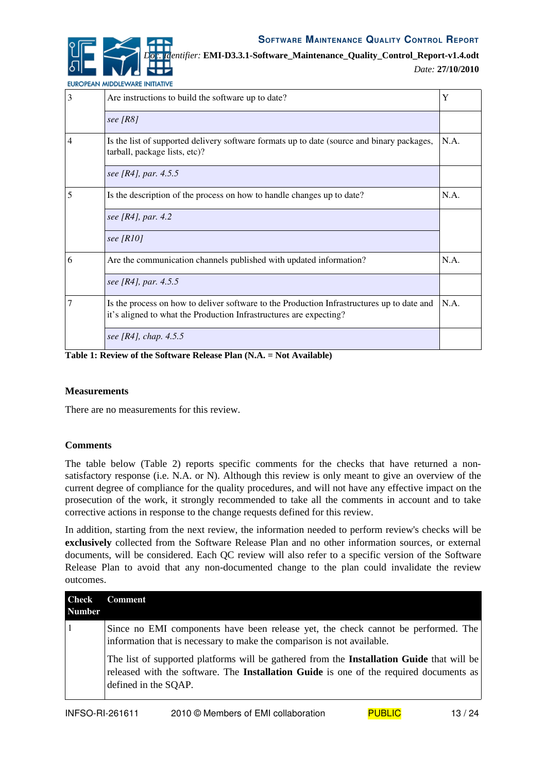*Date:* **27/10/2010**

| EUROPEAN MIDDLEWARE INITIATIVE |  |
|--------------------------------|--|
|                                |  |

| 3 | Are instructions to build the software up to date?                                                                                                               | Y    |
|---|------------------------------------------------------------------------------------------------------------------------------------------------------------------|------|
|   | see $[R8]$                                                                                                                                                       |      |
| 4 | Is the list of supported delivery software formats up to date (source and binary packages,<br>tarball, package lists, etc)?                                      | N.A. |
|   | see [R4], par. 4.5.5                                                                                                                                             |      |
| 5 | Is the description of the process on how to handle changes up to date?                                                                                           | N.A. |
|   | see [R4], par. 4.2                                                                                                                                               |      |
|   | see $[R10]$                                                                                                                                                      |      |
| 6 | Are the communication channels published with updated information?                                                                                               | N.A. |
|   | see [R4], par. 4.5.5                                                                                                                                             |      |
| 7 | Is the process on how to deliver software to the Production Infrastructures up to date and<br>it's aligned to what the Production Infrastructures are expecting? | N.A. |
|   | see [R4], chap. 4.5.5                                                                                                                                            |      |

**Table 1: Review of the Software Release Plan (N.A. = Not Available)**

#### **Measurements**

There are no measurements for this review.

#### **Comments**

The table below [\(Table 2\)](#page-13-0) reports specific comments for the checks that have returned a nonsatisfactory response (i.e. N.A. or N). Although this review is only meant to give an overview of the current degree of compliance for the quality procedures, and will not have any effective impact on the prosecution of the work, it strongly recommended to take all the comments in account and to take corrective actions in response to the change requests defined for this review.

In addition, starting from the next review, the information needed to perform review's checks will be **exclusively** collected from the Software Release Plan and no other information sources, or external documents, will be considered. Each QC review will also refer to a specific version of the Software Release Plan to avoid that any non-documented change to the plan could invalidate the review outcomes.

| <b>Check</b><br>  Number | <b>Comment</b>                                                                                                                                                                                                     |
|--------------------------|--------------------------------------------------------------------------------------------------------------------------------------------------------------------------------------------------------------------|
|                          | Since no EMI components have been release yet, the check cannot be performed. The<br>information that is necessary to make the comparison is not available.                                                        |
|                          | The list of supported platforms will be gathered from the <b>Installation Guide</b> that will be<br>released with the software. The Installation Guide is one of the required documents as<br>defined in the SQAP. |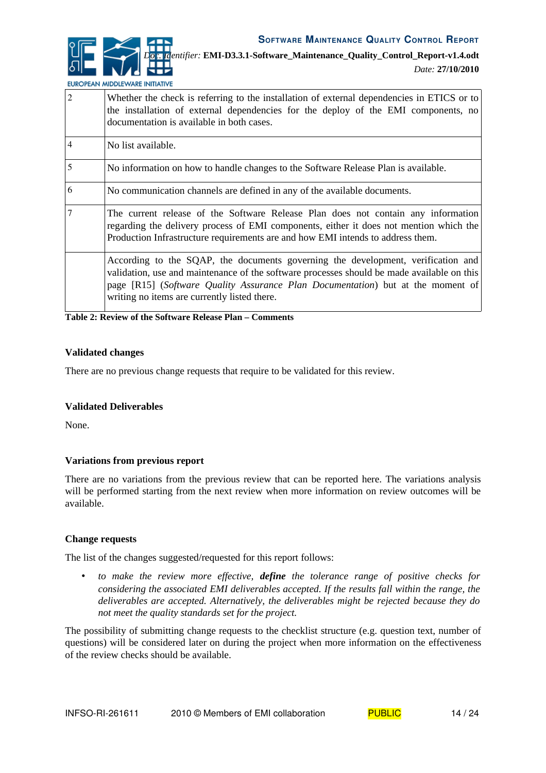*Date:* **27/10/2010**

EUROPEAN MIDDLEWARE INITIATIVE

| $\overline{2}$ | Whether the check is referring to the installation of external dependencies in ETICS or to<br>the installation of external dependencies for the deploy of the EMI components, no<br>documentation is available in both cases.                                                                                     |
|----------------|-------------------------------------------------------------------------------------------------------------------------------------------------------------------------------------------------------------------------------------------------------------------------------------------------------------------|
| $\overline{4}$ | No list available.                                                                                                                                                                                                                                                                                                |
| $\overline{5}$ | No information on how to handle changes to the Software Release Plan is available.                                                                                                                                                                                                                                |
| 6              | No communication channels are defined in any of the available documents.                                                                                                                                                                                                                                          |
| $\tau$         | The current release of the Software Release Plan does not contain any information<br>regarding the delivery process of EMI components, either it does not mention which the<br>Production Infrastructure requirements are and how EMI intends to address them.                                                    |
|                | According to the SQAP, the documents governing the development, verification and<br>validation, use and maintenance of the software processes should be made available on this<br>page [R15] (Software Quality Assurance Plan Documentation) but at the moment of<br>writing no items are currently listed there. |

<span id="page-13-0"></span>**Table 2: Review of the Software Release Plan – Comments**

#### **Validated changes**

There are no previous change requests that require to be validated for this review.

#### **Validated Deliverables**

None.

#### **Variations from previous report**

There are no variations from the previous review that can be reported here. The variations analysis will be performed starting from the next review when more information on review outcomes will be available.

#### **Change requests**

The list of the changes suggested/requested for this report follows:

• *to make the review more effective, define the tolerance range of positive checks for considering the associated EMI deliverables accepted. If the results fall within the range, the deliverables are accepted. Alternatively, the deliverables might be rejected because they do not meet the quality standards set for the project.*

The possibility of submitting change requests to the checklist structure (e.g. question text, number of questions) will be considered later on during the project when more information on the effectiveness of the review checks should be available.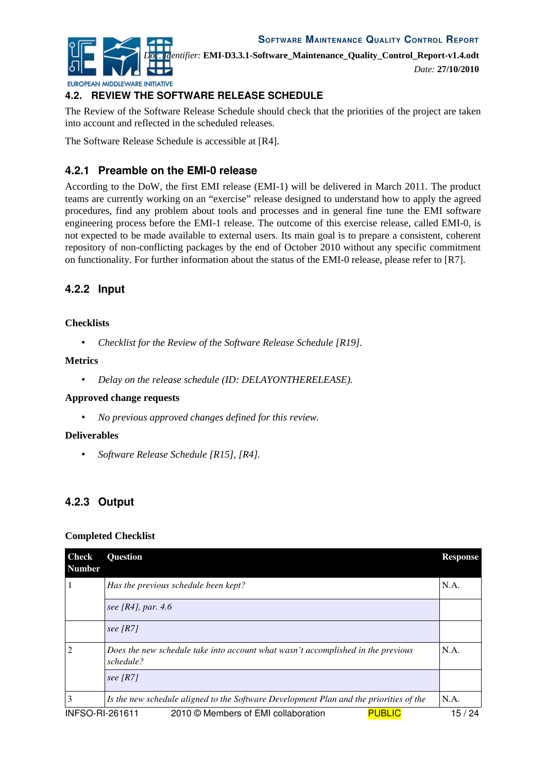

*Doc. Identifier:* **EMI-D3.3.1-Software\_Maintenance\_Quality\_Control\_Report-v1.4.odt**

EUROPEAN MIDDLEWARE INITIATIVE

*Date:* **27/10/2010**

# **4.2. REVIEW THE SOFTWARE RELEASE SCHEDULE**

The Review of the Software Release Schedule should check that the priorities of the project are taken into account and reflected in the scheduled releases.

The Software Release Schedule is accessible at [\[R4\]](#page-4-3).

# **4.2.1 Preamble on the EMI-0 release**

According to the DoW, the first EMI release (EMI-1) will be delivered in March 2011. The product teams are currently working on an "exercise" release designed to understand how to apply the agreed procedures, find any problem about tools and processes and in general fine tune the EMI software engineering process before the EMI-1 release. The outcome of this exercise release, called EMI-0, is not expected to be made available to external users. Its main goal is to prepare a consistent, coherent repository of non-conflicting packages by the end of October 2010 without any specific commitment on functionality*.* For further information about the status of the EMI-0 release, please refer to [\[R7\]](#page-4-2).

# **4.2.2 Input**

#### **Checklists**

• Checklist for the Review of the Software Release Schedule [\[R19\]](#page-5-3).

#### **Metrics**

• *Delay on the release schedule (ID: DELAYONTHERELEASE).*

#### **Approved change requests**

• *No previous approved changes defined for this review.*

#### **Deliverables**

• *Software Release Schedule [\[R15\]](#page-5-2), [\[R4\]](#page-4-3).*

# **4.2.3 Output**

#### **Completed Checklist**

| Check<br>  Number      | <b>Question</b>                                                                               | <b>Response</b> |
|------------------------|-----------------------------------------------------------------------------------------------|-----------------|
| 1                      | Has the previous schedule been kept?                                                          | N.A.            |
|                        | see [R4], par. $4.6$                                                                          |                 |
|                        | see $[R7]$                                                                                    |                 |
| $\overline{2}$         | Does the new schedule take into account what wasn't accomplished in the previous<br>schedule? | N.A.            |
|                        | see $[R7]$                                                                                    |                 |
| 3                      | Is the new schedule aligned to the Software Development Plan and the priorities of the        | N.A.            |
| <b>INFSO-RI-261611</b> | <b>PUBLIC</b><br>2010 © Members of EMI collaboration                                          | 15 / 24         |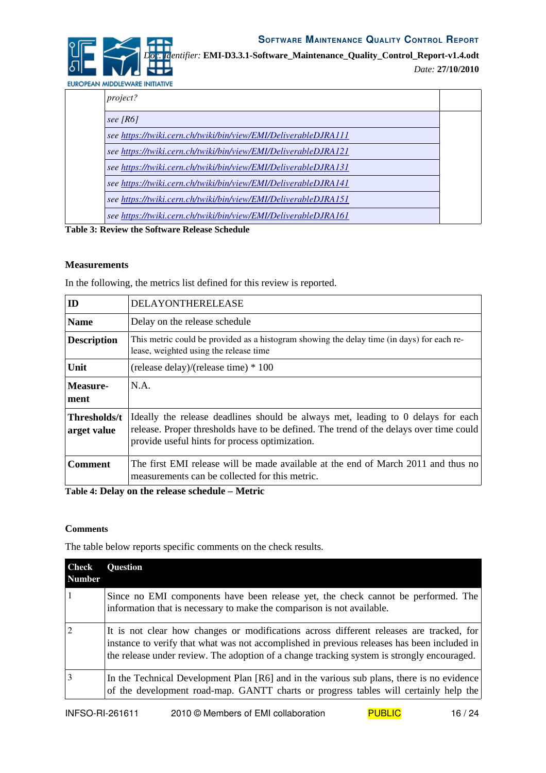

*Date:* **27/10/2010**

EUROPEAN MIDDLEWARE INITIATIVE

| project?                                                        |  |
|-----------------------------------------------------------------|--|
| see $[R6]$                                                      |  |
| see https://twiki.cern.ch/twiki/bin/view/EMI/DeliverableDJRA111 |  |
| see https://twiki.cern.ch/twiki/bin/view/EMI/DeliverableDJRA121 |  |
| see https://twiki.cern.ch/twiki/bin/view/EMI/DeliverableDJRA131 |  |
| see https://twiki.cern.ch/twiki/bin/view/EMI/DeliverableDJRA141 |  |
| see https://twiki.cern.ch/twiki/bin/view/EMI/DeliverableDJRA151 |  |
| see https://twiki.cern.ch/twiki/bin/view/EMI/DeliverableDJRA161 |  |

**Table 3: Review the Software Release Schedule**

#### **Measurements**

In the following, the metrics list defined for this review is reported.

| ID                          | DELAYONTHERELEASE                                                                                                                                                                                                            |
|-----------------------------|------------------------------------------------------------------------------------------------------------------------------------------------------------------------------------------------------------------------------|
| <b>Name</b>                 | Delay on the release schedule                                                                                                                                                                                                |
| <b>Description</b>          | This metric could be provided as a histogram showing the delay time (in days) for each re-<br>lease, weighted using the release time                                                                                         |
| Unit                        | (release delay)/(release time) $*100$                                                                                                                                                                                        |
| Measure-<br>ment            | N.A.                                                                                                                                                                                                                         |
| Thresholds/t<br>arget value | Ideally the release deadlines should be always met, leading to 0 delays for each<br>release. Proper thresholds have to be defined. The trend of the delays over time could<br>provide useful hints for process optimization. |
| Comment                     | The first EMI release will be made available at the end of March 2011 and thus no<br>measurements can be collected for this metric.                                                                                          |

**Table 4: Delay on the release schedule – Metric**

#### **Comments**

The table below reports specific comments on the check results.

| <b>Check</b><br>  Number | <b>Question</b>                                                                                                                                                                                                                                                                      |
|--------------------------|--------------------------------------------------------------------------------------------------------------------------------------------------------------------------------------------------------------------------------------------------------------------------------------|
|                          | Since no EMI components have been release yet, the check cannot be performed. The<br>information that is necessary to make the comparison is not available.                                                                                                                          |
| $\overline{2}$           | It is not clear how changes or modifications across different releases are tracked, for<br>instance to verify that what was not accomplished in previous releases has been included in<br>the release under review. The adoption of a change tracking system is strongly encouraged. |
|                          | In the Technical Development Plan [R6] and in the various sub plans, there is no evidence<br>of the development road-map. GANTT charts or progress tables will certainly help the                                                                                                    |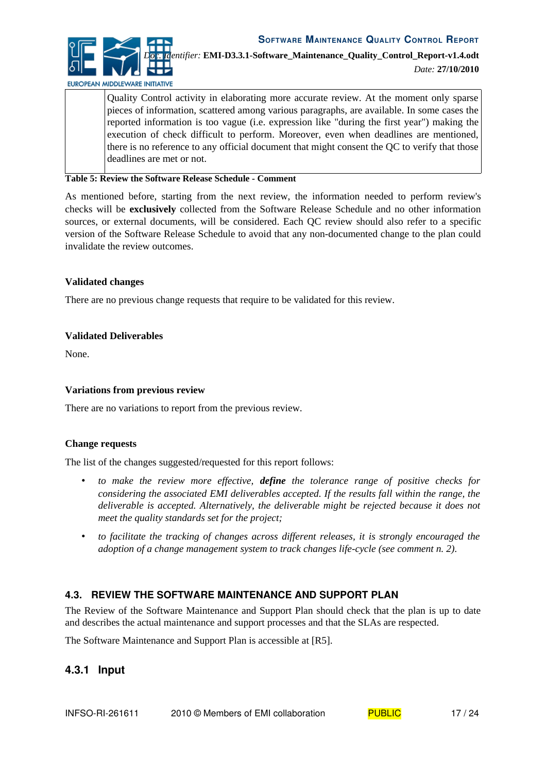*Doc. Identifier:* **EMI-D3.3.1-Software\_Maintenance\_Quality\_Control\_Report-v1.4.odt**

EUROPEAN MIDDLEWARE INITIATIVE

*Date:* **27/10/2010**

Quality Control activity in elaborating more accurate review. At the moment only sparse pieces of information, scattered among various paragraphs, are available. In some cases the reported information is too vague (i.e. expression like "during the first year") making the execution of check difficult to perform. Moreover, even when deadlines are mentioned, there is no reference to any official document that might consent the QC to verify that those deadlines are met or not.

**Table 5: Review the Software Release Schedule - Comment**

As mentioned before, starting from the next review, the information needed to perform review's checks will be **exclusively** collected from the Software Release Schedule and no other information sources, or external documents, will be considered. Each QC review should also refer to a specific version of the Software Release Schedule to avoid that any non-documented change to the plan could invalidate the review outcomes.

#### **Validated changes**

There are no previous change requests that require to be validated for this review.

#### **Validated Deliverables**

None.

#### **Variations from previous review**

There are no variations to report from the previous review.

#### **Change requests**

The list of the changes suggested/requested for this report follows:

- *to make the review more effective, define the tolerance range of positive checks for considering the associated EMI deliverables accepted. If the results fall within the range, the deliverable is accepted. Alternatively, the deliverable might be rejected because it does not meet the quality standards set for the project;*
- *to facilitate the tracking of changes across different releases, it is strongly encouraged the adoption of a change management system to track changes life-cycle (see comment n. 2).*

# **4.3. REVIEW THE SOFTWARE MAINTENANCE AND SUPPORT PLAN**

The Review of the Software Maintenance and Support Plan should check that the plan is up to date and describes the actual maintenance and support processes and that the SLAs are respected.

The Software Maintenance and Support Plan is accessible at [\[R5\]](#page-4-6).

# **4.3.1 Input**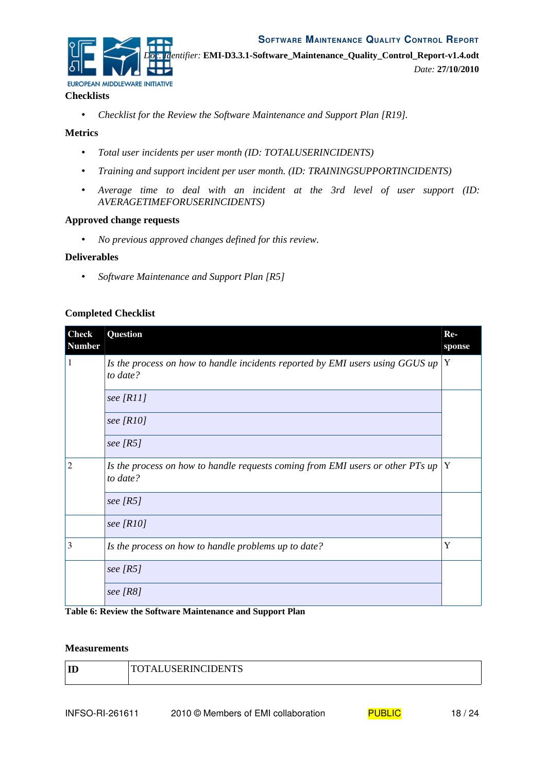

#### **Checklists**

• Checklist for the Review the Software Maintenance and Support Plan [\[R19\]](#page-5-3).

#### **Metrics**

- *Total user incidents per user month (ID: TOTALUSERINCIDENTS)*
- *Training and support incident per user month. (ID: TRAININGSUPPORTINCIDENTS)*
- *Average time to deal with an incident at the 3rd level of user support (ID: AVERAGETIMEFORUSERINCIDENTS)*

#### **Approved change requests**

• *No previous approved changes defined for this review.*

#### **Deliverables**

• *Software Maintenance and Support Plan [\[R5\]](#page-4-6)* 

#### **Completed Checklist**

| <b>Check</b><br><b>Number</b> | Question                                                                                   | $Re-$<br>sponse |
|-------------------------------|--------------------------------------------------------------------------------------------|-----------------|
| 1                             | Is the process on how to handle incidents reported by EMI users using GGUS up<br>to date?  | Y               |
|                               | see $[R11]$                                                                                |                 |
|                               | see $[R10]$                                                                                |                 |
|                               | see $[RS]$                                                                                 |                 |
| 2                             | Is the process on how to handle requests coming from EMI users or other PTs up<br>to date? | Y               |
|                               | see $[RS]$                                                                                 |                 |
|                               | see $[R10]$                                                                                |                 |
| 3                             | Is the process on how to handle problems up to date?                                       | Y               |
|                               | see $[RS]$                                                                                 |                 |
|                               | see $[RS]$                                                                                 |                 |

**Table 6: Review the Software Maintenance and Support Plan**

#### **Measurements**

| <b>TOTAL LISERINCIDENTS</b><br>TT<br> |  |
|---------------------------------------|--|
|---------------------------------------|--|

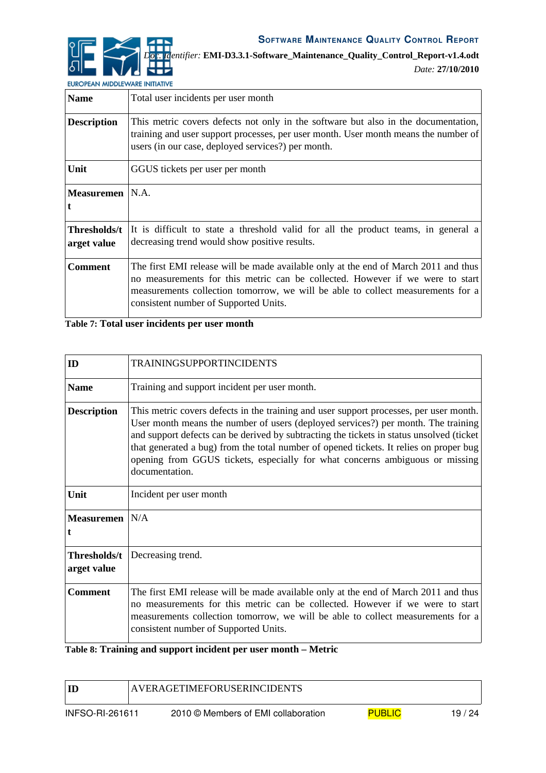

*Date:* **27/10/2010**

EUROPEAN MIDDLEWARE INITIATIVE

| <b>Name</b>                 | Total user incidents per user month                                                                                                                                                                                                                                                              |  |
|-----------------------------|--------------------------------------------------------------------------------------------------------------------------------------------------------------------------------------------------------------------------------------------------------------------------------------------------|--|
| <b>Description</b>          | This metric covers defects not only in the software but also in the documentation,<br>training and user support processes, per user month. User month means the number of<br>users (in our case, deployed services?) per month.                                                                  |  |
| Unit                        | GGUS tickets per user per month                                                                                                                                                                                                                                                                  |  |
| Measuremen   N.A.           |                                                                                                                                                                                                                                                                                                  |  |
| Thresholds/t<br>arget value | It is difficult to state a threshold valid for all the product teams, in general a<br>decreasing trend would show positive results.                                                                                                                                                              |  |
| <b>Comment</b>              | The first EMI release will be made available only at the end of March 2011 and thus<br>no measurements for this metric can be collected. However if we were to start<br>measurements collection tomorrow, we will be able to collect measurements for a<br>consistent number of Supported Units. |  |

#### **Table 7: Total user incidents per user month**

| ID                          | <b>TRAININGSUPPORTINCIDENTS</b>                                                                                                                                                                                                                                                                                                                                                                                                                                     |
|-----------------------------|---------------------------------------------------------------------------------------------------------------------------------------------------------------------------------------------------------------------------------------------------------------------------------------------------------------------------------------------------------------------------------------------------------------------------------------------------------------------|
| <b>Name</b>                 | Training and support incident per user month.                                                                                                                                                                                                                                                                                                                                                                                                                       |
| <b>Description</b>          | This metric covers defects in the training and user support processes, per user month.<br>User month means the number of users (deployed services?) per month. The training<br>and support defects can be derived by subtracting the tickets in status unsolved (ticket<br>that generated a bug) from the total number of opened tickets. It relies on proper bug<br>opening from GGUS tickets, especially for what concerns ambiguous or missing<br>documentation. |
| Unit                        | Incident per user month                                                                                                                                                                                                                                                                                                                                                                                                                                             |
| Measuremen   N/A<br>t       |                                                                                                                                                                                                                                                                                                                                                                                                                                                                     |
| Thresholds/t<br>arget value | Decreasing trend.                                                                                                                                                                                                                                                                                                                                                                                                                                                   |
| <b>Comment</b>              | The first EMI release will be made available only at the end of March 2011 and thus<br>no measurements for this metric can be collected. However if we were to start<br>measurements collection tomorrow, we will be able to collect measurements for a<br>consistent number of Supported Units.                                                                                                                                                                    |

# **Table 8: Training and support incident per user month – Metric**

| ID                     | <b>AVERAGETIMEFORUSERINCIDENTS</b>  |               |       |
|------------------------|-------------------------------------|---------------|-------|
| <b>INFSO-RI-261611</b> | 2010 © Members of EMI collaboration | <b>PUBLIC</b> | 19/24 |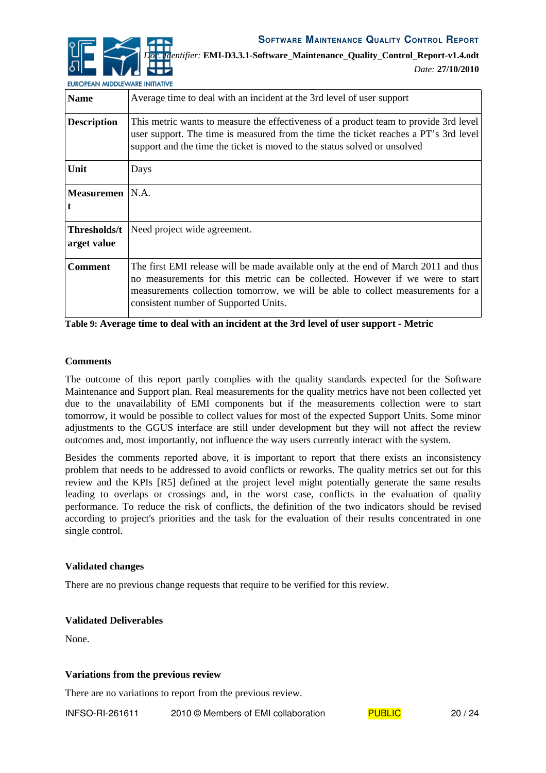*Doc. Identifier:* **EMI-D3.3.1-Software\_Maintenance\_Quality\_Control\_Report-v1.4.odt**

*Date:* **27/10/2010**

EUROPEAN MIDDLEWARE INITIATIVE

| <b>Name</b>                 | Average time to deal with an incident at the 3rd level of user support                                                                                                                                                                                                                           |  |
|-----------------------------|--------------------------------------------------------------------------------------------------------------------------------------------------------------------------------------------------------------------------------------------------------------------------------------------------|--|
| <b>Description</b>          | This metric wants to measure the effectiveness of a product team to provide 3rd level<br>user support. The time is measured from the time the ticket reaches a PT's 3rd level<br>support and the time the ticket is moved to the status solved or unsolved                                       |  |
| Unit                        | Days                                                                                                                                                                                                                                                                                             |  |
| Measuremen                  | IN.A.                                                                                                                                                                                                                                                                                            |  |
| Thresholds/t<br>arget value | Need project wide agreement.                                                                                                                                                                                                                                                                     |  |
| <b>Comment</b>              | The first EMI release will be made available only at the end of March 2011 and thus<br>no measurements for this metric can be collected. However if we were to start<br>measurements collection tomorrow, we will be able to collect measurements for a<br>consistent number of Supported Units. |  |

**Table 9: Average time to deal with an incident at the 3rd level of user support - Metric**

#### **Comments**

The outcome of this report partly complies with the quality standards expected for the Software Maintenance and Support plan. Real measurements for the quality metrics have not been collected yet due to the unavailability of EMI components but if the measurements collection were to start tomorrow, it would be possible to collect values for most of the expected Support Units. Some minor adjustments to the GGUS interface are still under development but they will not affect the review outcomes and, most importantly, not influence the way users currently interact with the system.

Besides the comments reported above, it is important to report that there exists an inconsistency problem that needs to be addressed to avoid conflicts or reworks. The quality metrics set out for this review and the KPIs [\[R5\]](#page-4-6) defined at the project level might potentially generate the same results leading to overlaps or crossings and, in the worst case, conflicts in the evaluation of quality performance. To reduce the risk of conflicts, the definition of the two indicators should be revised according to project's priorities and the task for the evaluation of their results concentrated in one single control.

#### **Validated changes**

There are no previous change requests that require to be verified for this review.

#### **Validated Deliverables**

None.

#### **Variations from the previous review**

There are no variations to report from the previous review.

INFSO-RI-261611 2010 © Members of EMI collaboration  $PUBLIC$  20 / 24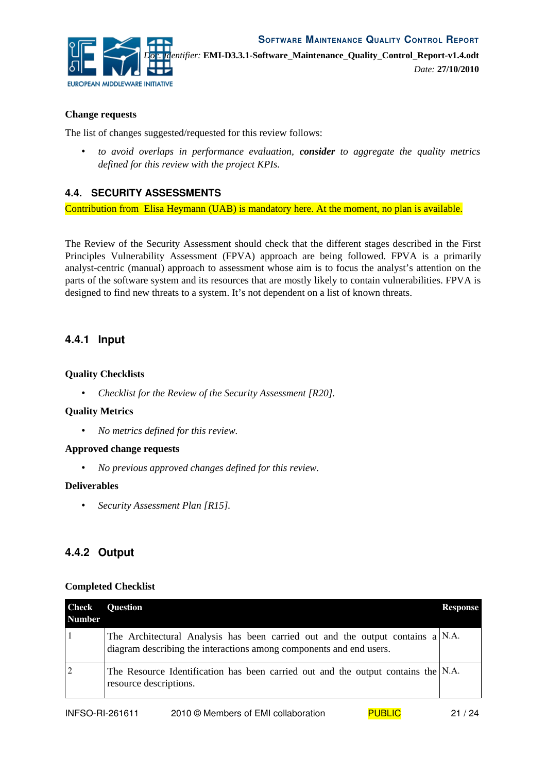

*Date:* **27/10/2010**

#### **Change requests**

The list of changes suggested/requested for this review follows:

• *to avoid overlaps in performance evaluation, consider to aggregate the quality metrics defined for this review with the project KPIs.*

#### **4.4. SECURITY ASSESSMENTS**

Contribution from Elisa Heymann (UAB) is mandatory here. At the moment, no plan is available.

The Review of the Security Assessment should check that the different stages described in the First Principles Vulnerability Assessment (FPVA) approach are being followed. FPVA is a primarily analyst-centric (manual) approach to assessment whose aim is to focus the analyst's attention on the parts of the software system and its resources that are mostly likely to contain vulnerabilities. FPVA is designed to find new threats to a system. It's not dependent on a list of known threats.

#### **4.4.1 Input**

#### **Quality Checklists**

• *Checklist for the Review of the Security Assessment [\[R20\]](#page-5-4)*.

#### **Quality Metrics**

• *No metrics defined for this review.*

#### **Approved change requests**

• *No previous approved changes defined for this review.*

#### **Deliverables**

• *Security Assessment Plan [\[R15\]](#page-5-2)*.

# **4.4.2 Output**

#### **Completed Checklist**

| <b>Check</b><br><b>Number</b> | <b>Question</b>                                                                                                                                          | <b>Response</b> |
|-------------------------------|----------------------------------------------------------------------------------------------------------------------------------------------------------|-----------------|
|                               | The Architectural Analysis has been carried out and the output contains $a N.A$ .<br>diagram describing the interactions among components and end users. |                 |
|                               | The Resource Identification has been carried out and the output contains the $N.A$ .<br>resource descriptions.                                           |                 |

| <b>INFSO-RI-261611</b> | 2010 © Members of EMI collaboration | <b>PUBLIC</b> | 21/24 |
|------------------------|-------------------------------------|---------------|-------|
|------------------------|-------------------------------------|---------------|-------|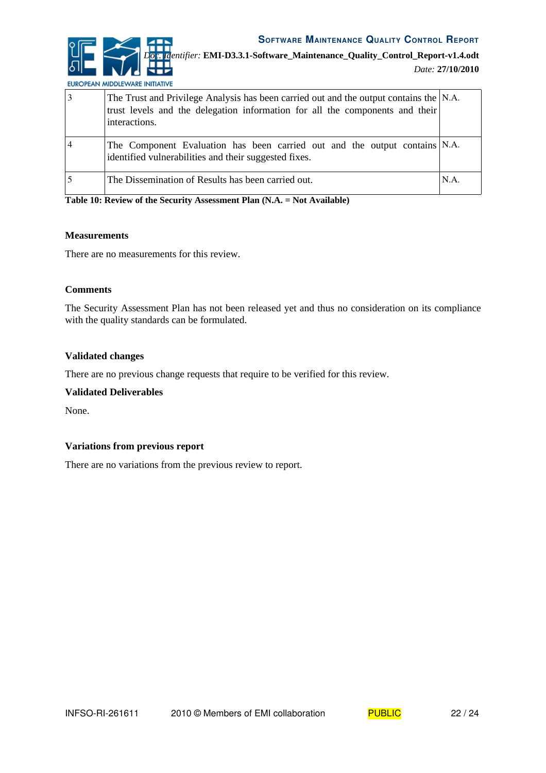

*Doc. Identifier:* **EMI-D3.3.1-Software\_Maintenance\_Quality\_Control\_Report-v1.4.odt**

EUROPEAN MIDDLEWARE INITIATIVE

| 3              | The Trust and Privilege Analysis has been carried out and the output contains the N.A.<br>trust levels and the delegation information for all the components and their<br>interactions. |      |
|----------------|-----------------------------------------------------------------------------------------------------------------------------------------------------------------------------------------|------|
| $\overline{4}$ | The Component Evaluation has been carried out and the output contains N.A.<br>identified vulnerabilities and their suggested fixes.                                                     |      |
|                | The Dissemination of Results has been carried out.                                                                                                                                      | N.A. |

**Table 10: Review of the Security Assessment Plan (N.A. = Not Available)**

#### **Measurements**

There are no measurements for this review.

#### **Comments**

The Security Assessment Plan has not been released yet and thus no consideration on its compliance with the quality standards can be formulated.

#### **Validated changes**

There are no previous change requests that require to be verified for this review.

#### **Validated Deliverables**

None.

#### **Variations from previous report**

There are no variations from the previous review to report.

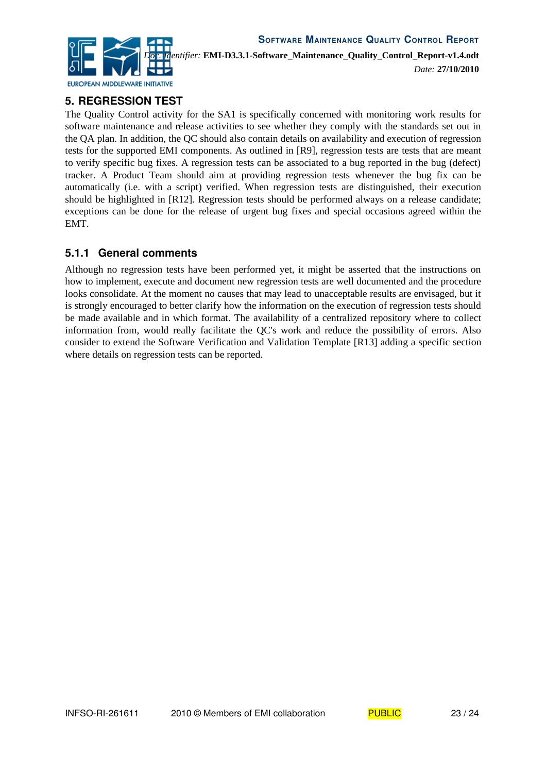

# **5. REGRESSION TEST**

The Quality Control activity for the SA1 is specifically concerned with monitoring work results for software maintenance and release activities to see whether they comply with the standards set out in the QA plan. In addition, the QC should also contain details on availability and execution of regression tests for the supported EMI components. As outlined in [\[R9\]](#page-4-8), regression tests are tests that are meant to verify specific bug fixes. A regression tests can be associated to a bug reported in the bug (defect) tracker. A Product Team should aim at providing regression tests whenever the bug fix can be automatically (i.e. with a script) verified. When regression tests are distinguished, their execution should be highlighted in [\[R12\]](#page-5-6). Regression tests should be performed always on a release candidate; exceptions can be done for the release of urgent bug fixes and special occasions agreed within the EMT.

# **5.1.1 General comments**

Although no regression tests have been performed yet, it might be asserted that the instructions on how to implement, execute and document new regression tests are well documented and the procedure looks consolidate. At the moment no causes that may lead to unacceptable results are envisaged, but it is strongly encouraged to better clarify how the information on the execution of regression tests should be made available and in which format. The availability of a centralized repository where to collect information from, would really facilitate the QC's work and reduce the possibility of errors. Also consider to extend the Software Verification and Validation Template [\[R13\]](#page-5-5) adding a specific section where details on regression tests can be reported.